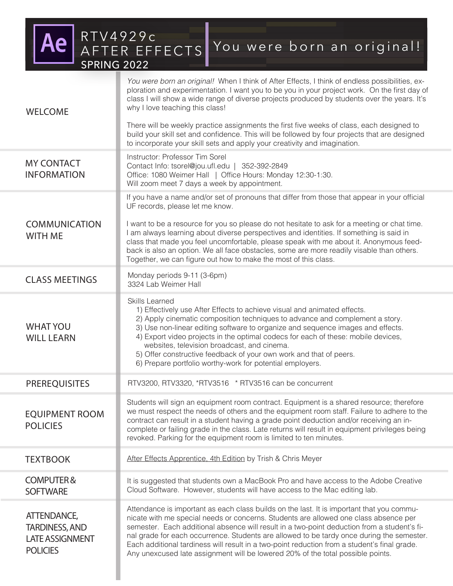RTV4929c AFTER EFFECTS

SPRING 2022

# You were born an original!

MY CONTACT INFORMATION CLASS MEETINGS WHAT YOU WILL LEARN Monday periods 9-11 (3-6pm) 3324 Lab Weimer Hall If you have a name and/or set of pronouns that differ from those that appear in your official UF records, please let me know. I want to be a resource for you so please do not hesitate to ask for a meeting or chat time. I am always learning about diverse perspectives and identities. If something is said in class that made you feel uncomfortable, please speak with me about it. Anonymous feedback is also an option. We all face obstacles, some are more readily visable than others. Together, we can figure out how to make the most of this class. Skills Learned 1) Effectively use After Effects to achieve visual and animated effects. 2) Apply cinematic composition techniques to advance and complement a story. 3) Use non-linear editing software to organize and sequence images and effects. 4) Export video projects in the optimal codecs for each of these: mobile devices, websites, television broadcast, and cinema. 5) Offer constructive feedback of your own work and that of peers. 6) Prepare portfolio worthy-work for potential employers. PREREQUISITES **REGISTION** RTV3200, RTV3320, \*RTV3516 \* RTV3516 can be concurrent Instructor: Professor Tim Sorel Contact Info: tsorel@jou.ufl.edu | 352-392-2849 Office: 1080 Weimer Hall | Office Hours: Monday 12:30-1:30. Will zoom meet 7 days a week by appointment. EQUIPMENT ROOM POLICIES Students will sign an equipment room contract. Equipment is a shared resource; therefore we must respect the needs of others and the equipment room staff. Failure to adhere to the contract can result in a student having a grade point deduction and/or receiving an incomplete or failing grade in the class. Late returns will result in equipment privileges being revoked. Parking for the equipment room is limited to ten minutes. *You were born an original!* When I think of After Effects, I think of endless possibilities, exploration and experimentation. I want you to be you in your project work. On the first day of class I will show a wide range of diverse projects produced by students over the years. It's why I love teaching this class! There will be weekly practice assignments the first five weeks of class, each designed to build your skill set and confidence. This will be followed by four projects that are designed to incorporate your skill sets and apply your creativity and imagination. WELCOME **COMMUNICATION** WITH ME

COMPUTER & **SOFTWARE** It is suggested that students own a MacBook Pro and have access to the Adobe Creative Cloud Software. However, students will have access to the Mac editing lab.

After Effects Apprentice, 4th Edition by Trish & Chris Meyer

ATTENDANCE, TARDINESS, AND LATE ASSIGNMENT **POLICIES** 

**TEXTBOOK** 

Attendance is important as each class builds on the last. It is important that you communicate with me special needs or concerns. Students are allowed one class absence per semester. Each additional absence will result in a two-point deduction from a student's final grade for each occurrence. Students are allowed to be tardy once during the semester. Each additional tardiness will result in a two-point reduction from a student's final grade. Any unexcused late assignment will be lowered 20% of the total possible points.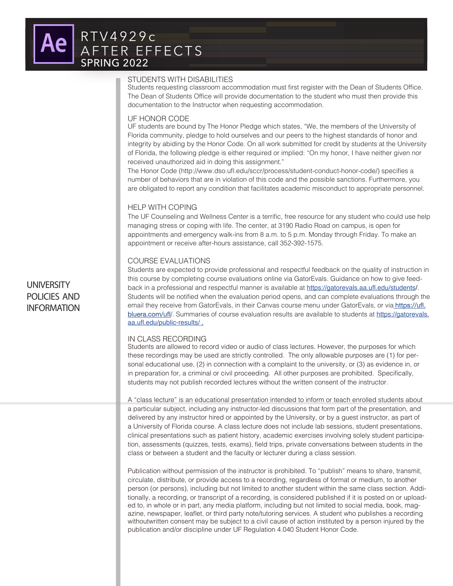### STUDENTS WITH DISABILITIES

Students requesting classroom accommodation must first register with the Dean of Students Office. The Dean of Students Office will provide documentation to the student who must then provide this documentation to the Instructor when requesting accommodation.

#### UF HONOR CODE

UF students are bound by The Honor Pledge which states, "We, the members of the University of Florida community, pledge to hold ourselves and our peers to the highest standards of honor and integrity by abiding by the Honor Code. On all work submitted for credit by students at the University of Florida, the following pledge is either required or implied: "On my honor, I have neither given nor received unauthorized aid in doing this assignment."

The Honor Code (http://www.dso.ufl.edu/sccr/process/student-conduct-honor-code/) specifies a number of behaviors that are in violation of this code and the possible sanctions. Furthermore, you are obligated to report any condition that facilitates academic misconduct to appropriate personnel.

### HELP WITH COPING

The UF Counseling and Wellness Center is a terrific, free resource for any student who could use help managing stress or coping with life. The center, at 3190 Radio Road on campus, is open for appointments and emergency walk-ins from 8 a.m. to 5 p.m. Monday through Friday. To make an appointment or receive after-hours assistance, call 352-392-1575.

### COURSE EVALUATIONS

Students are expected to provide professional and respectful feedback on the quality of instruction in this course by completing course evaluations online via GatorEvals. Guidance on how to give feedback in a professional and respectful manner is available at https://gatorevals.aa.ufl.edu/students/. Students will be notified when the evaluation period opens, and can complete evaluations through the email they receive from GatorEvals, in their Canvas course menu under GatorEvals, or via **https://ufl.** bluera.com/ufl/. Summaries of course evaluation results are available to students at https://gatorevals. aa.ufl.edu/public-results/ ,

### IN CLASS RECORDING

Students are allowed to record video or audio of class lectures. However, the purposes for which these recordings may be used are strictly controlled. The only allowable purposes are (1) for personal educational use, (2) in connection with a complaint to the university, or (3) as evidence in, or in preparation for, a criminal or civil proceeding. All other purposes are prohibited. Specifically, students may not publish recorded lectures without the written consent of the instructor.

A "class lecture" is an educational presentation intended to inform or teach enrolled students about a particular subject, including any instructor-led discussions that form part of the presentation, and delivered by any instructor hired or appointed by the University, or by a guest instructor, as part of a University of Florida course. A class lecture does not include lab sessions, student presentations, clinical presentations such as patient history, academic exercises involving solely student participation, assessments (quizzes, tests, exams), field trips, private conversations between students in the class or between a student and the faculty or lecturer during a class session.

Publication without permission of the instructor is prohibited. To "publish" means to share, transmit, circulate, distribute, or provide access to a recording, regardless of format or medium, to another person (or persons), including but not limited to another student within the same class section. Additionally, a recording, or transcript of a recording, is considered published if it is posted on or uploaded to, in whole or in part, any media platform, including but not limited to social media, book, magazine, newspaper, leaflet, or third party note/tutoring services. A student who publishes a recording withoutwritten consent may be subject to a civil cause of action instituted by a person injured by the publication and/or discipline under UF Regulation 4.040 Student Honor Code.

# **UNIVERSITY** POLICIES AND INFORMATION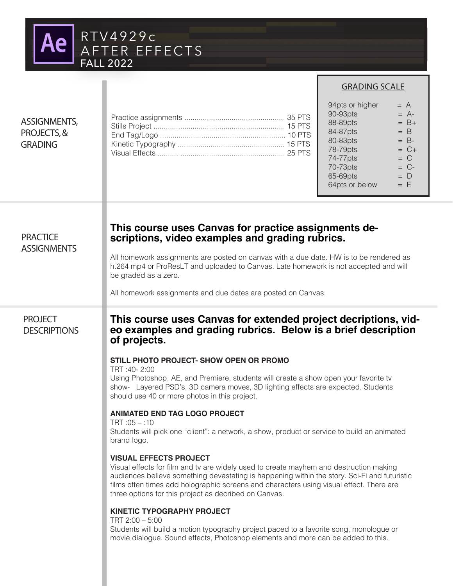

### GRADING SCALE

### 94pts or higher  $= A$  $90-93$ pts  $= A$ - $88-89$ pts  $= B +$  $84-87$ pts  $= B$  $80-83$ pts  $= B$ - $78-79$ pts  $= C +$  $74 - 77$ pts = C<br> $70 - 73$ pts = C- $70 - 73$ pts  $= C$ - 65-69pts = D  $64pts$  or below  $= E$

# **PRACTICE ASSIGNMENTS**

ASSIGNMENTS, PROJECTS, & GRADING

# **This course uses Canvas for practice assignments de- scriptions, video examples and grading rubrics.**

All homework assignments are posted on canvas with a due date. HW is to be rendered as h.264 mp4 or ProResLT and uploaded to Canvas. Late homework is not accepted and will be graded as a zero.

All homework assignments and due dates are posted on Canvas.

Practice assignments ................................................. 35 PTS Stills Project ................................................................ 15 PTS End Tag/Logo ............................................................. 10 PTS Kinetic Typography .................................................... 15 PTS Visual Effects .......... ................................................... 25 PTS

# PROJECT **DESCRIPTIONS**

# **This course uses Canvas for extended project decriptions, video examples and grading rubrics. Below is a brief description of projects.**

### **STILL PHOTO PROJECT- SHOW OPEN OR PROMO**

TRT :40- 2:00

Using Photoshop, AE, and Premiere, students will create a show open your favorite tv show- Layered PSD's, 3D camera moves, 3D lighting effects are expected. Students should use 40 or more photos in this project.

## **ANIMATED END TAG LOGO PROJECT**

 $TRT \cdot 0.5 - 10$ 

Students will pick one "client": a network, a show, product or service to build an animated brand logo.

### **VISUAL EFFECTS PROJECT**

Visual effects for film and tv are widely used to create mayhem and destruction making audiences believe something devastating is happening within the story. Sci-Fi and futuristic films often times add holographic screens and characters using visual effect. There are three options for this project as decribed on Canvas.

### **KINETIC TYPOGRAPHY PROJECT**

TRT 2:00 – 5:00 Students will build a motion typography project paced to a favorite song, monologue or movie dialogue. Sound effects, Photoshop elements and more can be added to this.